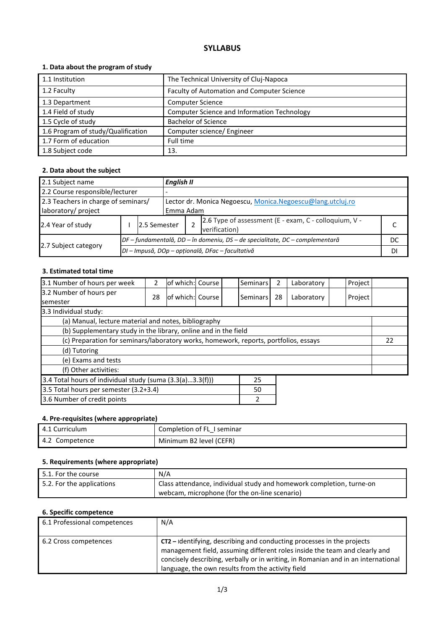## **SYLLABUS**

## **1. Data about the program of study**

| 1.1 Institution                    | The Technical University of Cluj-Napoca     |
|------------------------------------|---------------------------------------------|
|                                    |                                             |
| 1.2 Faculty                        | Faculty of Automation and Computer Science  |
| 1.3 Department                     | <b>Computer Science</b>                     |
| 1.4 Field of study                 | Computer Science and Information Technology |
| 1.5 Cycle of study                 | <b>Bachelor of Science</b>                  |
| 1.6 Program of study/Qualification | Computer science/ Engineer                  |
| 1.7 Form of education              | Full time                                   |
| 1.8 Subject code                   | 13.                                         |

## **2. Data about the subject**

| 2.1 Subject name                                           |                                                  |              | <b>English II</b>                                                            |  |  |    |  |
|------------------------------------------------------------|--------------------------------------------------|--------------|------------------------------------------------------------------------------|--|--|----|--|
| 2.2 Course responsible/lecturer                            |                                                  |              |                                                                              |  |  |    |  |
| 2.3 Teachers in charge of seminars/<br>laboratory/ project |                                                  |              | Lector dr. Monica Negoescu, Monica Negoescu@lang.utcluj.ro<br>Emma Adam      |  |  |    |  |
| 2.4 Year of study                                          |                                                  | 2.5 Semester | 2.6 Type of assessment (E - exam, C - colloquium, V -<br>verification)       |  |  |    |  |
|                                                            |                                                  |              | DF – fundamentală, DD – în domeniu, DS – de specialitate, DC – complementară |  |  | DC |  |
| 2.7 Subject category                                       | DI - Impusă, DOp - opțională, DFac - facultativă |              |                                                                              |  |  | DI |  |

### **3. Estimated total time**

| 3.1 Number of hours per week                                                         | 2  | lof which: Course |  |  | Seminars | 2  | Laboratory | Project |  |
|--------------------------------------------------------------------------------------|----|-------------------|--|--|----------|----|------------|---------|--|
| 3.2 Number of hours per<br><b>semester</b>                                           | 28 | of which: Course  |  |  | Seminars | 28 | Laboratory | Project |  |
| 3.3 Individual study:                                                                |    |                   |  |  |          |    |            |         |  |
| (a) Manual, lecture material and notes, bibliography                                 |    |                   |  |  |          |    |            |         |  |
| (b) Supplementary study in the library, online and in the field                      |    |                   |  |  |          |    |            |         |  |
| (c) Preparation for seminars/laboratory works, homework, reports, portfolios, essays |    |                   |  |  |          |    | 22         |         |  |
| (d) Tutoring                                                                         |    |                   |  |  |          |    |            |         |  |
| (e) Exams and tests                                                                  |    |                   |  |  |          |    |            |         |  |
| (f) Other activities:                                                                |    |                   |  |  |          |    |            |         |  |
| 3.4 Total hours of individual study (suma (3.3(a)3.3(f)))<br>25                      |    |                   |  |  |          |    |            |         |  |
| 3.5 Total hours per semester (3.2+3.4)                                               |    |                   |  |  | 50       |    |            |         |  |
| 3.6 Number of credit points<br>2                                                     |    |                   |  |  |          |    |            |         |  |

## **4. Pre-requisites (where appropriate)**

| 4.1 Curriculum | Completion of FL I seminar |
|----------------|----------------------------|
| 4.2 Competence | Minimum B2 level (CEFR)    |

## **5. Requirements (where appropriate)**

| $\mid$ 5.1. For the course | N/A                                                                               |
|----------------------------|-----------------------------------------------------------------------------------|
| 5.2. For the applications  | <sup>1</sup> Class attendance, individual study and homework completion, turne-on |
|                            | webcam, microphone (for the on-line scenario)                                     |

# **6. Specific competence**

| 6.1 Professional competences | N/A                                                                                                                                                                                                                                                                                            |
|------------------------------|------------------------------------------------------------------------------------------------------------------------------------------------------------------------------------------------------------------------------------------------------------------------------------------------|
| 6.2 Cross competences        | CT2 - Identifying, describing and conducting processes in the projects<br>management field, assuming different roles inside the team and clearly and<br>concisely describing, verbally or in writing, in Romanian and in an international<br>language, the own results from the activity field |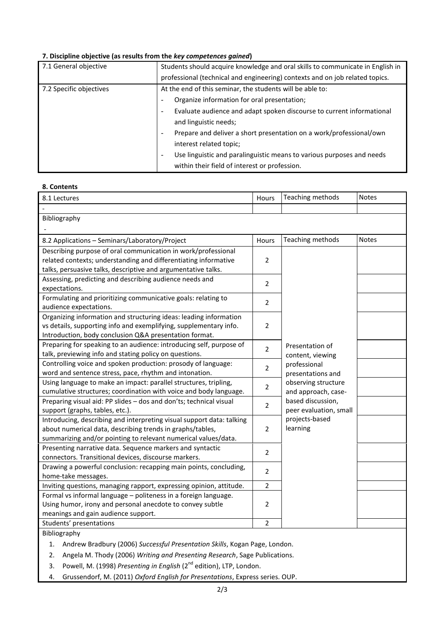### **7. Discipline objective (as results from the** *key competences gained***)**

| 7.1 General objective   | Students should acquire knowledge and oral skills to communicate in English in |  |  |  |  |
|-------------------------|--------------------------------------------------------------------------------|--|--|--|--|
|                         | professional (technical and engineering) contexts and on job related topics.   |  |  |  |  |
| 7.2 Specific objectives | At the end of this seminar, the students will be able to:                      |  |  |  |  |
|                         | Organize information for oral presentation;                                    |  |  |  |  |
|                         | Evaluate audience and adapt spoken discourse to current informational<br>-     |  |  |  |  |
|                         | and linguistic needs;                                                          |  |  |  |  |
|                         | Prepare and deliver a short presentation on a work/professional/own<br>-       |  |  |  |  |
|                         | interest related topic;                                                        |  |  |  |  |
|                         | Use linguistic and paralinguistic means to various purposes and needs<br>-     |  |  |  |  |
|                         | within their field of interest or profession.                                  |  |  |  |  |

### **8. Contents**

| 8.1 Lectures                                                                     | Hours          | Teaching methods       | <b>Notes</b> |  |  |
|----------------------------------------------------------------------------------|----------------|------------------------|--------------|--|--|
|                                                                                  |                |                        |              |  |  |
| Bibliography                                                                     |                |                        |              |  |  |
|                                                                                  |                |                        |              |  |  |
| 8.2 Applications - Seminars/Laboratory/Project                                   | Hours          | Teaching methods       | <b>Notes</b> |  |  |
| Describing purpose of oral communication in work/professional                    |                |                        |              |  |  |
| related contexts; understanding and differentiating informative                  | $\overline{2}$ |                        |              |  |  |
| talks, persuasive talks, descriptive and argumentative talks.                    |                |                        |              |  |  |
| Assessing, predicting and describing audience needs and                          | $\overline{2}$ |                        |              |  |  |
| expectations.                                                                    |                |                        |              |  |  |
| Formulating and prioritizing communicative goals: relating to                    | $\overline{2}$ |                        |              |  |  |
| audience expectations.                                                           |                |                        |              |  |  |
| Organizing information and structuring ideas: leading information                |                |                        |              |  |  |
| vs details, supporting info and exemplifying, supplementary info.                | $\overline{2}$ |                        |              |  |  |
| Introduction, body conclusion Q&A presentation format.                           |                |                        |              |  |  |
| Preparing for speaking to an audience: introducing self, purpose of              | $\overline{2}$ | Presentation of        |              |  |  |
| talk, previewing info and stating policy on questions.                           |                | content, viewing       |              |  |  |
| Controlling voice and spoken production: prosody of language:                    | $\overline{2}$ | professional           |              |  |  |
| word and sentence stress, pace, rhythm and intonation.                           |                | presentations and      |              |  |  |
| Using language to make an impact: parallel structures, tripling,                 | $\overline{2}$ | observing structure    |              |  |  |
| cumulative structures; coordination with voice and body language.                |                | and approach, case-    |              |  |  |
| Preparing visual aid: PP slides - dos and don'ts; technical visual               | $\overline{2}$ | based discussion,      |              |  |  |
| support (graphs, tables, etc.).                                                  |                | peer evaluation, small |              |  |  |
| Introducing, describing and interpreting visual support data: talking            |                | projects-based         |              |  |  |
| about numerical data, describing trends in graphs/tables,                        | $\overline{2}$ | learning               |              |  |  |
| summarizing and/or pointing to relevant numerical values/data.                   |                |                        |              |  |  |
| Presenting narrative data. Sequence markers and syntactic                        | $\overline{2}$ |                        |              |  |  |
| connectors. Transitional devices, discourse markers.                             |                |                        |              |  |  |
| Drawing a powerful conclusion: recapping main points, concluding,                | $\overline{2}$ |                        |              |  |  |
| home-take messages.                                                              |                |                        |              |  |  |
| Inviting questions, managing rapport, expressing opinion, attitude.              | $\overline{2}$ |                        |              |  |  |
| Formal vs informal language - politeness in a foreign language.                  |                |                        |              |  |  |
| Using humor, irony and personal anecdote to convey subtle                        | $\overline{2}$ |                        |              |  |  |
| meanings and gain audience support.                                              |                |                        |              |  |  |
| Students' presentations                                                          | $\overline{2}$ |                        |              |  |  |
| Bibliography                                                                     |                |                        |              |  |  |
| Andrew Bradbury (2006) Successful Presentation Skills, Kogan Page, London.<br>1. |                |                        |              |  |  |
| $-1$ $1$ $1 - 2 - 2 - 1$ $1 - 1$                                                 |                |                        |              |  |  |

2. Angela M. Thody (2006) *Writing and Presenting Research*, Sage Publications.

3. Powell, M. (1998) *Presenting in English* (2<sup>nd</sup> edition), LTP, London.

4. Grussendorf, M. (2011) *Oxford English for Presentations*, Express series. OUP.